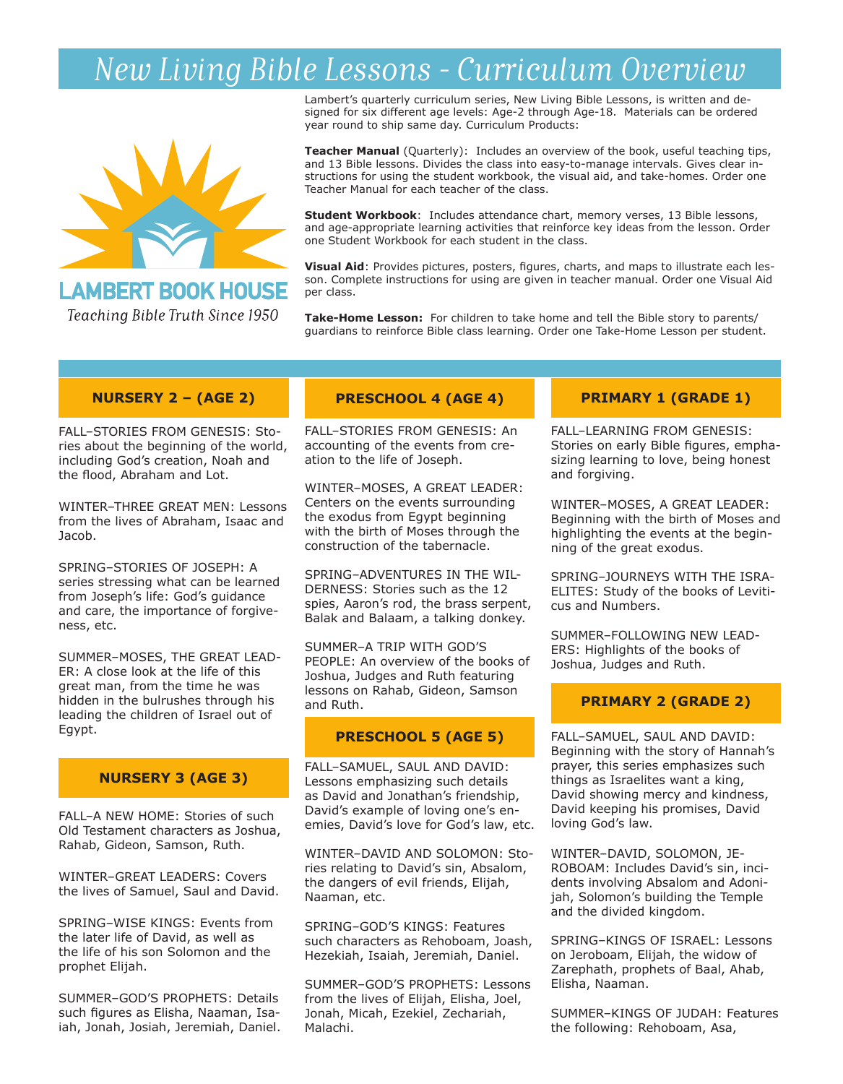# *New Living Bible Lessons - Curriculum Overview*



# **LAMBERT BOOK HOUSE**

Teaching Bible Truth Since 1950

Lambert's quarterly curriculum series, New Living Bible Lessons, is written and designed for six different age levels: Age-2 through Age-18. Materials can be ordered year round to ship same day. Curriculum Products:

**Teacher Manual** (Quarterly): Includes an overview of the book, useful teaching tips, and 13 Bible lessons. Divides the class into easy-to-manage intervals. Gives clear instructions for using the student workbook, the visual aid, and take-homes. Order one Teacher Manual for each teacher of the class.

**Student Workbook**: Includes attendance chart, memory verses, 13 Bible lessons, and age-appropriate learning activities that reinforce key ideas from the lesson. Order one Student Workbook for each student in the class.

**Visual Aid**: Provides pictures, posters, figures, charts, and maps to illustrate each lesson. Complete instructions for using are given in teacher manual. Order one Visual Aid per class.

**Take-Home Lesson:** For children to take home and tell the Bible story to parents/ guardians to reinforce Bible class learning. Order one Take-Home Lesson per student.

### **NURSERY 2 – (AGE 2)**

FALL–STORIES FROM GENESIS: Stories about the beginning of the world, including God's creation, Noah and the flood, Abraham and Lot.

WINTER–THREE GREAT MEN: Lessons from the lives of Abraham, Isaac and Jacob.

SPRING–STORIES OF JOSEPH: A series stressing what can be learned from Joseph's life: God's guidance and care, the importance of forgiveness, etc.

SUMMER–MOSES, THE GREAT LEAD-ER: A close look at the life of this great man, from the time he was hidden in the bulrushes through his leading the children of Israel out of Egypt.

### **NURSERY 3 (AGE 3)**

FALL–A NEW HOME: Stories of such Old Testament characters as Joshua, Rahab, Gideon, Samson, Ruth.

WINTER–GREAT LEADERS: Covers the lives of Samuel, Saul and David.

SPRING–WISE KINGS: Events from the later life of David, as well as the life of his son Solomon and the prophet Elijah.

SUMMER–GOD'S PROPHETS: Details such figures as Elisha, Naaman, Isaiah, Jonah, Josiah, Jeremiah, Daniel.

# **PRESCHOOL 4 (AGE 4)**

FALL–STORIES FROM GENESIS: An accounting of the events from creation to the life of Joseph.

WINTER–MOSES, A GREAT LEADER: Centers on the events surrounding the exodus from Egypt beginning with the birth of Moses through the construction of the tabernacle.

SPRING–ADVENTURES IN THE WIL-DERNESS: Stories such as the 12 spies, Aaron's rod, the brass serpent, Balak and Balaam, a talking donkey.

SUMMER–A TRIP WITH GOD'S PEOPLE: An overview of the books of Joshua, Judges and Ruth featuring lessons on Rahab, Gideon, Samson and Ruth.

### **PRESCHOOL 5 (AGE 5)**

FALL–SAMUEL, SAUL AND DAVID: Lessons emphasizing such details as David and Jonathan's friendship, David's example of loving one's enemies, David's love for God's law, etc.

WINTER–DAVID AND SOLOMON: Stories relating to David's sin, Absalom, the dangers of evil friends, Elijah, Naaman, etc.

SPRING–GOD'S KINGS: Features such characters as Rehoboam, Joash, Hezekiah, Isaiah, Jeremiah, Daniel.

SUMMER–GOD'S PROPHETS: Lessons from the lives of Elijah, Elisha, Joel, Jonah, Micah, Ezekiel, Zechariah, Malachi.

### **PRIMARY 1 (GRADE 1)**

FALL–LEARNING FROM GENESIS: Stories on early Bible figures, emphasizing learning to love, being honest and forgiving.

WINTER–MOSES, A GREAT LEADER: Beginning with the birth of Moses and highlighting the events at the beginning of the great exodus.

SPRING–JOURNEYS WITH THE ISRA-ELITES: Study of the books of Leviticus and Numbers.

SUMMER–FOLLOWING NEW LEAD-ERS: Highlights of the books of Joshua, Judges and Ruth.

### **PRIMARY 2 (GRADE 2)**

FALL–SAMUEL, SAUL AND DAVID: Beginning with the story of Hannah's prayer, this series emphasizes such things as Israelites want a king, David showing mercy and kindness, David keeping his promises, David loving God's law.

WINTER–DAVID, SOLOMON, JE-ROBOAM: Includes David's sin, incidents involving Absalom and Adonijah, Solomon's building the Temple and the divided kingdom.

SPRING–KINGS OF ISRAEL: Lessons on Jeroboam, Elijah, the widow of Zarephath, prophets of Baal, Ahab, Elisha, Naaman.

SUMMER–KINGS OF JUDAH: Features the following: Rehoboam, Asa,